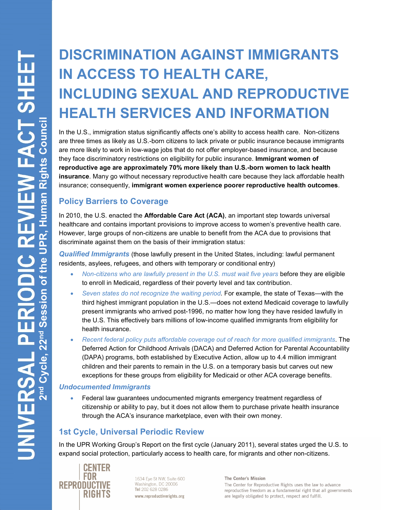# **DISCRIMINATION AGAINST IMMIGRANTS IN ACCESS TO HEALTH CARE, INCLUDING SEXUAL AND REPRODUCTIVE HEALTH SERVICES AND INFORMATION**

In the U.S., immigration status significantly affects one's ability to access health care. Non-citizens are three times as likely as U.S.-born citizens to lack private or public insurance because immigrants are more likely to work in low-wage jobs that do not offer employer-based insurance, and because they face discriminatory restrictions on eligibility for public insurance. **Immigrant women of reproductive age are approximately 70% more likely than U.S.-born women to lack health insurance**. Many go without necessary reproductive health care because they lack affordable health insurance; consequently, **immigrant women experience poorer reproductive health outcomes**.

## **Policy Barriers to Coverage**

In 2010, the U.S. enacted the **Affordable Care Act (ACA)**, an important step towards universal healthcare and contains important provisions to improve access to women's preventive health care. However, large groups of non-citizens are unable to benefit from the ACA due to provisions that discriminate against them on the basis of their immigration status:

*Qualified Immigrants* (those lawfully present in the United States, including: lawful permanent residents, asylees, refugees, and others with temporary or conditional entry)

- *Non-citizens who are lawfully present in the U.S. must wait five years* before they are eligible to enroll in Medicaid, regardless of their poverty level and tax contribution.
- *Seven states do not recognize the waiting period.* For example, the state of Texas—with the third highest immigrant population in the U.S.—does not extend Medicaid coverage to lawfully present immigrants who arrived post-1996, no matter how long they have resided lawfully in the U.S. This effectively bars millions of low-income qualified immigrants from eligibility for health insurance.
- *Recent federal policy puts affordable coverage out of reach for more qualified immigrants*. The Deferred Action for Childhood Arrivals (DACA) and Deferred Action for Parental Accountability (DAPA) programs, both established by Executive Action, allow up to 4.4 million immigrant children and their parents to remain in the U.S. on a temporary basis but carves out new exceptions for these groups from eligibility for Medicaid or other ACA coverage benefits.

#### *Undocumented Immigrants*

 Federal law guarantees undocumented migrants emergency treatment regardless of citizenship or ability to pay, but it does not allow them to purchase private health insurance through the ACA's insurance marketplace, even with their own money.

### **1st Cycle, Universal Periodic Review**

In the UPR Working Group's Report on the first cycle (January 2011), several states urged the U.S. to expand social protection, particularly access to health care, for migrants and other non-citizens.



1634 Eye St NW, Suite 600 Washington, DC 20006 Tel 202 628 0286 www.reproductiverights.org

**The Center's Mission** 

The Center for Reproductive Rights uses the law to advance reproductive freedom as a fundamental right that all governments are legally obligated to protect, respect and fulfill.